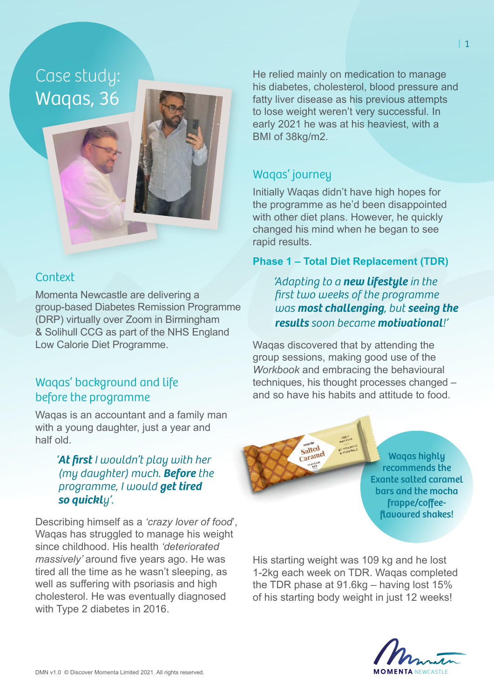Case study: Waqas, 36

## **Context**

Momenta Newcastle are delivering a group-based Diabetes Remission Programme (DRP) virtually over Zoom in Birmingham & Solihull CCG as part of the NHS England Low Calorie Diet Programme.

# Waqas' background and life before the programme

Waqas is an accountant and a family man with a young daughter, just a year and half old.

### *'At first I wouldn't play with her (my daughter) much. Before the programme, I would get tired so quickly'.*

Describing himself as a *'crazy lover of food*', Wagas has struggled to manage his weight since childhood. His health *'deteriorated massively'* around five years ago. He was tired all the time as he wasn't sleeping, as well as suffering with psoriasis and high cholesterol. He was eventually diagnosed with Type 2 diabetes in 2016.

He relied mainly on medication to manage his diabetes, cholesterol, blood pressure and fatty liver disease as his previous attempts to lose weight weren't very successful. In early 2021 he was at his heaviest, with a BMI of 38kg/m2.

# Waqas' journey

Initially Waqas didn't have high hopes for the programme as he'd been disappointed with other diet plans. However, he quickly changed his mind when he began to see rapid results.

#### **Phase 1 – Total Diet Replacement (TDR)**

*'Adapting to a new lifestyle in the first two weeks of the programme was most challenging, but seeing the results soon became motivational!'* 

Waqas discovered that by attending the group sessions, making good use of the *Workbook* and embracing the behavioural techniques, his thought processes changed – and so have his habits and attitude to food.

> Salted Salted<br>Caramel

Waqas highly recommends the Exante salted caramel bars and the mocha frappe/coffeeflavoured shakes!

His starting weight was 109 kg and he lost 1-2kg each week on TDR. Waqas completed the TDR phase at 91.6kg – having lost 15% of his starting body weight in just 12 weeks!